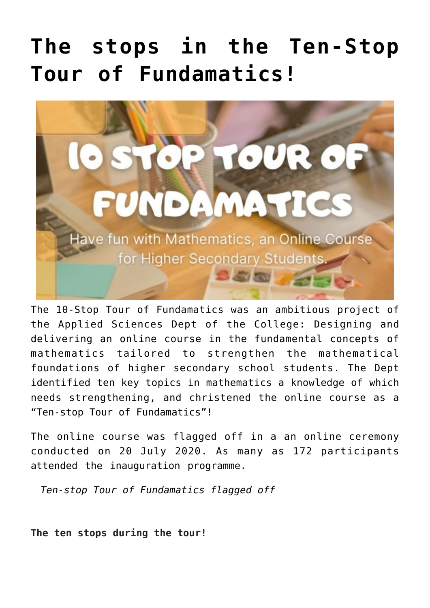## **[The stops in the Ten-Stop](https://news.vidyaacademy.ac.in/2020/08/06/report-on-10-stop-tour-of-fundamatics/) [Tour of Fundamatics!](https://news.vidyaacademy.ac.in/2020/08/06/report-on-10-stop-tour-of-fundamatics/)**



The 10-Stop Tour of Fundamatics was an ambitious project of the Applied Sciences Dept of the College: Designing and delivering an online course in the fundamental concepts of mathematics tailored to strengthen the mathematical foundations of higher secondary school students. The Dept identified ten key topics in mathematics a knowledge of which needs strengthening, and christened the online course as a "Ten-stop Tour of Fundamatics"!

The online course was flagged off in a an online ceremony conducted on 20 July 2020. As many as 172 participants attended the inauguration programme.

*[Ten-stop Tour of Fundamatics flagged off](https://news.vidyaacademy.ac.in/2020/07/23/ten-stop-tour-of-fundamatics-flagged-off/)*

**The ten stops during the tour!**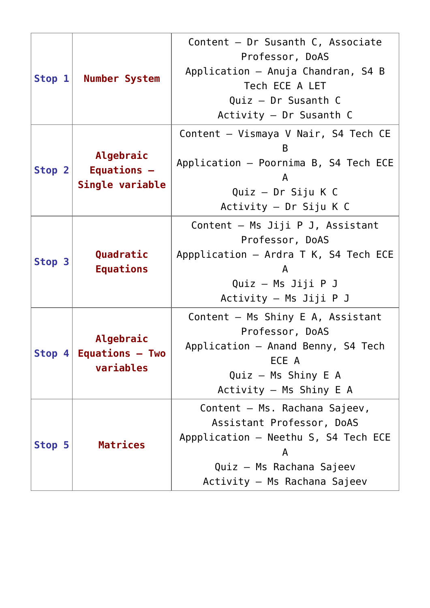| Stop $1$ | <b>Number System</b>                               | Content - Dr Susanth C, Associate<br>Professor, DoAS<br>Application - Anuja Chandran, S4 B<br>Tech ECE A LET<br>Quiz - Dr Susanth C<br>Activity $-$ Dr Susanth C    |
|----------|----------------------------------------------------|---------------------------------------------------------------------------------------------------------------------------------------------------------------------|
| Stop 2   | Algebraic<br>Equations -<br>Single variable        | Content - Vismaya V Nair, S4 Tech CE<br>B<br>Application - Poornima B, S4 Tech ECE<br>A<br>Quiz - Dr Siju K C<br>Activity - Dr Siju K C                             |
| Stop 3   | Quadratic<br><b>Equations</b>                      | Content - Ms Jiji P J, Assistant<br>Professor, DoAS<br>Appplication $-$ Ardra T K, S4 Tech ECE<br>A<br>Quiz - Ms Jiji P J<br>Activity - Ms Jiji P J                 |
|          | Algebraic<br>Stop $4$ Equations - Two<br>variables | Content - Ms Shiny E A, Assistant<br>Professor, DoAS<br>Application - Anand Benny, S4 Tech<br>ECE A<br>Quiz - Ms Shiny E A<br>Activity - Ms Shiny E A               |
| Stop 5   | <b>Matrices</b>                                    | Content - Ms. Rachana Sajeev,<br>Assistant Professor, DoAS<br>Appplication - Neethu S, S4 Tech ECE<br>A<br>Quiz - Ms Rachana Sajeev<br>Activity - Ms Rachana Sajeev |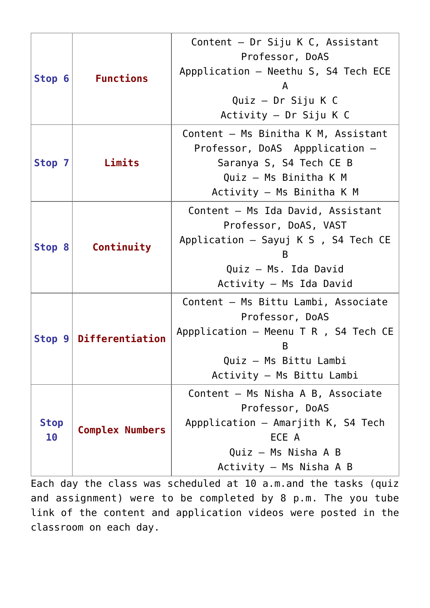| Stop 6            | <b>Functions</b>       | Content - Dr Siju K C, Assistant<br>Professor, DoAS<br>Appplication - Neethu S, S4 Tech ECE<br>A<br>Quiz - Dr Siju K C<br>Activity - Dr Siju K C             |
|-------------------|------------------------|--------------------------------------------------------------------------------------------------------------------------------------------------------------|
| Stop 7            | Limits                 | Content - Ms Binitha K M, Assistant<br>Professor, DoAS Appplication -<br>Saranya S, S4 Tech CE B<br>Quiz - Ms Binitha K M<br>Activity - Ms Binitha K M       |
| Stop 8            | Continuity             | Content - Ms Ida David, Assistant<br>Professor, DoAS, VAST<br>Application $-$ Sayuj K S , S4 Tech CE<br>в<br>Quiz - Ms. Ida David<br>Activity - Ms Ida David |
| Stop 9            | Differentiation        | Content - Ms Bittu Lambi, Associate<br>Professor, DoAS<br>Appplication $-$ Meenu T R , S4 Tech CE<br>B<br>Quiz - Ms Bittu Lambi<br>Activity - Ms Bittu Lambi |
| <b>Stop</b><br>10 | <b>Complex Numbers</b> | Content - Ms Nisha A B, Associate<br>Professor, DoAS<br>Appplication - Amarjith K, S4 Tech<br>ECE A<br>Quiz - Ms Nisha A B<br>Activity - Ms Nisha A B        |

Each day the class was scheduled at 10 a.m.and the tasks (quiz and assignment) were to be completed by 8 p.m. The you tube link of the content and application videos were posted in the classroom on each day.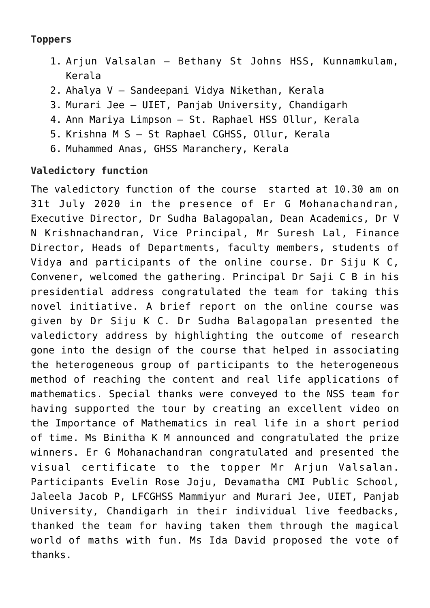## **Toppers**

- 1. Arjun Valsalan Bethany St Johns HSS, Kunnamkulam, Kerala
- 2. Ahalya V Sandeepani Vidya Nikethan, Kerala
- 3. Murari Jee UIET, Panjab University, Chandigarh
- 4. Ann Mariya Limpson St. Raphael HSS Ollur, Kerala
- 5. Krishna M S St Raphael CGHSS, Ollur, Kerala
- 6. Muhammed Anas, GHSS Maranchery, Kerala

## **Valedictory function**

The valedictory function of the course started at 10.30 am on 31t July 2020 in the presence of Er G Mohanachandran, Executive Director, Dr Sudha Balagopalan, Dean Academics, Dr V N Krishnachandran, Vice Principal, Mr Suresh Lal, Finance Director, Heads of Departments, faculty members, students of Vidya and participants of the online course. Dr Siju K C, Convener, welcomed the gathering. Principal Dr Saji C B in his presidential address congratulated the team for taking this novel initiative. A brief report on the online course was given by Dr Siju K C. Dr Sudha Balagopalan presented the valedictory address by highlighting the outcome of research gone into the design of the course that helped in associating the heterogeneous group of participants to the heterogeneous method of reaching the content and real life applications of mathematics. Special thanks were conveyed to the NSS team for having supported the tour by creating an excellent video on the Importance of Mathematics in real life in a short period of time. Ms Binitha K M announced and congratulated the prize winners. Er G Mohanachandran congratulated and presented the visual certificate to the topper Mr Arjun Valsalan. Participants Evelin Rose Joju, Devamatha CMI Public School, Jaleela Jacob P, LFCGHSS Mammiyur and Murari Jee, UIET, Panjab University, Chandigarh in their individual live feedbacks, thanked the team for having taken them through the magical world of maths with fun. Ms Ida David proposed the vote of thanks.